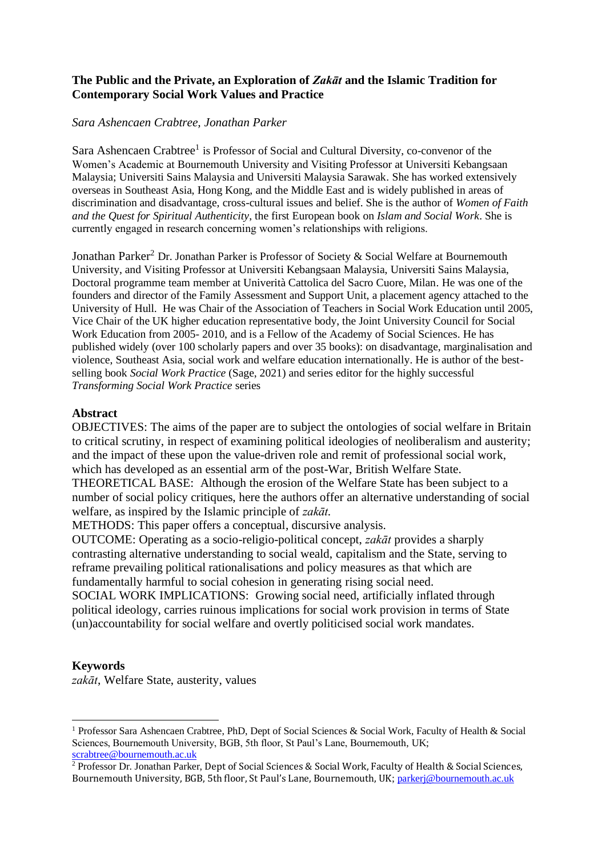## **The Public and the Private, an Exploration of** *Zakāt* **and the Islamic Tradition for Contemporary Social Work Values and Practice**

### *Sara Ashencaen Crabtree, Jonathan Parker*

Sara Ashencaen Crabtree<sup>1</sup> is Professor of Social and Cultural Diversity, co-convenor of the Women's Academic at Bournemouth University and Visiting Professor at Universiti Kebangsaan Malaysia; Universiti Sains Malaysia and Universiti Malaysia Sarawak. She has worked extensively overseas in Southeast Asia, Hong Kong, and the Middle East and is widely published in areas of discrimination and disadvantage, cross-cultural issues and belief. She is the author of *Women of Faith and the Quest for Spiritual Authenticity*, the first European book on *Islam and Social Work*. She is currently engaged in research concerning women's relationships with religions.

Jonathan Parker<sup>2</sup> Dr. Jonathan Parker is Professor of Society & Social Welfare at Bournemouth University, and Visiting Professor at Universiti Kebangsaan Malaysia, Universiti Sains Malaysia, Doctoral programme team member at Univerità Cattolica del Sacro Cuore, Milan. He was one of the founders and director of the Family Assessment and Support Unit, a placement agency attached to the University of Hull. He was Chair of the Association of Teachers in Social Work Education until 2005, Vice Chair of the UK higher education representative body, the Joint University Council for Social Work Education from 2005- 2010, and is a Fellow of the Academy of Social Sciences. He has published widely (over 100 scholarly papers and over 35 books): on disadvantage, marginalisation and violence, Southeast Asia, social work and welfare education internationally. He is author of the bestselling book *Social Work Practice* (Sage, 2021) and series editor for the highly successful *Transforming Social Work Practice* series

### **Abstract**

OBJECTIVES: The aims of the paper are to subject the ontologies of social welfare in Britain to critical scrutiny, in respect of examining political ideologies of neoliberalism and austerity; and the impact of these upon the value-driven role and remit of professional social work, which has developed as an essential arm of the post-War, British Welfare State. THEORETICAL BASE: Although the erosion of the Welfare State has been subject to a

number of social policy critiques, here the authors offer an alternative understanding of social welfare, as inspired by the Islamic principle of *zakāt.* 

METHODS: This paper offers a conceptual, discursive analysis.

OUTCOME: Operating as a socio-religio-political concept, *zakāt* provides a sharply contrasting alternative understanding to social weald, capitalism and the State, serving to reframe prevailing political rationalisations and policy measures as that which are fundamentally harmful to social cohesion in generating rising social need.

SOCIAL WORK IMPLICATIONS: Growing social need, artificially inflated through political ideology, carries ruinous implications for social work provision in terms of State (un)accountability for social welfare and overtly politicised social work mandates.

### **Keywords**

*zakāt*, Welfare State, austerity, values

<sup>1</sup> Professor Sara Ashencaen Crabtree, PhD, Dept of Social Sciences & Social Work, Faculty of Health & Social Sciences, Bournemouth University, BGB, 5th floor, St Paul's Lane, Bournemouth, UK; [scrabtree@bournemouth.ac.uk](about:blank)

<sup>&</sup>lt;sup>2</sup> Professor Dr. Jonathan Parker, Dept of Social Sciences & Social Work, Faculty of Health & Social Sciences, Bournemouth University, BGB, 5th floor, St Paul's Lane, Bournemouth, UK; [parkerj@bournemouth.ac.uk](about:blank)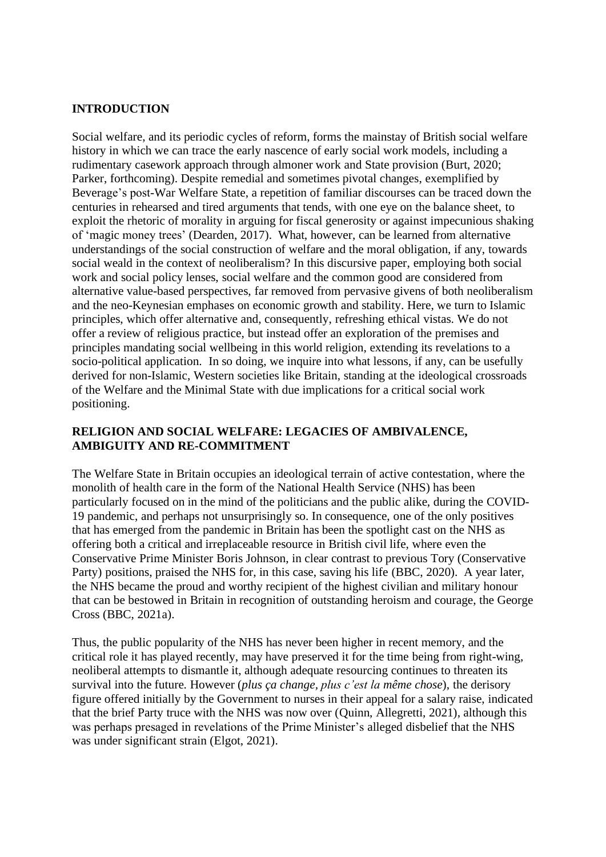### **INTRODUCTION**

Social welfare, and its periodic cycles of reform, forms the mainstay of British social welfare history in which we can trace the early nascence of early social work models, including a rudimentary casework approach through almoner work and State provision (Burt, 2020; Parker, forthcoming). Despite remedial and sometimes pivotal changes, exemplified by Beverage's post-War Welfare State, a repetition of familiar discourses can be traced down the centuries in rehearsed and tired arguments that tends, with one eye on the balance sheet, to exploit the rhetoric of morality in arguing for fiscal generosity or against impecunious shaking of 'magic money trees' (Dearden, 2017). What, however, can be learned from alternative understandings of the social construction of welfare and the moral obligation, if any, towards social weald in the context of neoliberalism? In this discursive paper, employing both social work and social policy lenses, social welfare and the common good are considered from alternative value-based perspectives, far removed from pervasive givens of both neoliberalism and the neo-Keynesian emphases on economic growth and stability. Here, we turn to Islamic principles, which offer alternative and, consequently, refreshing ethical vistas. We do not offer a review of religious practice, but instead offer an exploration of the premises and principles mandating social wellbeing in this world religion, extending its revelations to a socio-political application. In so doing, we inquire into what lessons, if any, can be usefully derived for non-Islamic, Western societies like Britain, standing at the ideological crossroads of the Welfare and the Minimal State with due implications for a critical social work positioning.

# **RELIGION AND SOCIAL WELFARE: LEGACIES OF AMBIVALENCE, AMBIGUITY AND RE-COMMITMENT**

The Welfare State in Britain occupies an ideological terrain of active contestation, where the monolith of health care in the form of the National Health Service (NHS) has been particularly focused on in the mind of the politicians and the public alike, during the COVID-19 pandemic, and perhaps not unsurprisingly so. In consequence, one of the only positives that has emerged from the pandemic in Britain has been the spotlight cast on the NHS as offering both a critical and irreplaceable resource in British civil life, where even the Conservative Prime Minister Boris Johnson, in clear contrast to previous Tory (Conservative Party) positions, praised the NHS for, in this case, saving his life (BBC, 2020). A year later, the NHS became the proud and worthy recipient of the highest civilian and military honour that can be bestowed in Britain in recognition of outstanding heroism and courage, the George Cross (BBC, 2021a).

Thus, the public popularity of the NHS has never been higher in recent memory, and the critical role it has played recently, may have preserved it for the time being from right-wing, neoliberal attempts to dismantle it, although adequate resourcing continues to threaten its survival into the future. However (*plus ça change, plus c'est la même chose*), the derisory figure offered initially by the Government to nurses in their appeal for a salary raise, indicated that the brief Party truce with the NHS was now over (Quinn, Allegretti, 2021), although this was perhaps presaged in revelations of the Prime Minister's alleged disbelief that the NHS was under significant strain (Elgot, 2021).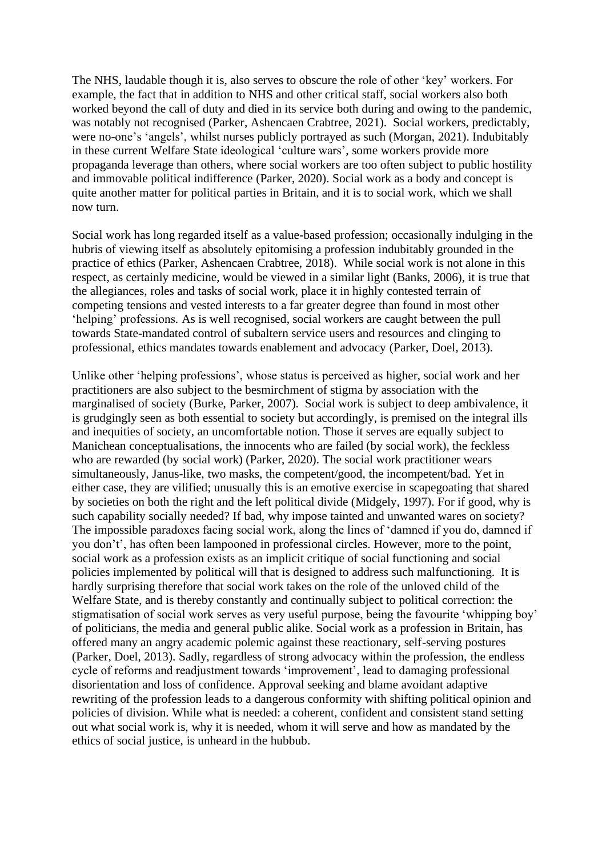The NHS, laudable though it is, also serves to obscure the role of other 'key' workers. For example, the fact that in addition to NHS and other critical staff, social workers also both worked beyond the call of duty and died in its service both during and owing to the pandemic, was notably not recognised (Parker, Ashencaen Crabtree, 2021). Social workers, predictably, were no-one's 'angels', whilst nurses publicly portrayed as such (Morgan, 2021). Indubitably in these current Welfare State ideological 'culture wars', some workers provide more propaganda leverage than others, where social workers are too often subject to public hostility and immovable political indifference (Parker, 2020). Social work as a body and concept is quite another matter for political parties in Britain, and it is to social work, which we shall now turn.

Social work has long regarded itself as a value-based profession; occasionally indulging in the hubris of viewing itself as absolutely epitomising a profession indubitably grounded in the practice of ethics (Parker, Ashencaen Crabtree, 2018). While social work is not alone in this respect, as certainly medicine, would be viewed in a similar light (Banks, 2006), it is true that the allegiances, roles and tasks of social work, place it in highly contested terrain of competing tensions and vested interests to a far greater degree than found in most other 'helping' professions. As is well recognised, social workers are caught between the pull towards State-mandated control of subaltern service users and resources and clinging to professional, ethics mandates towards enablement and advocacy (Parker, Doel, 2013).

Unlike other 'helping professions', whose status is perceived as higher, social work and her practitioners are also subject to the besmirchment of stigma by association with the marginalised of society (Burke, Parker, 2007). Social work is subject to deep ambivalence, it is grudgingly seen as both essential to society but accordingly, is premised on the integral ills and inequities of society, an uncomfortable notion. Those it serves are equally subject to Manichean conceptualisations, the innocents who are failed (by social work), the feckless who are rewarded (by social work) (Parker, 2020). The social work practitioner wears simultaneously, Janus-like, two masks, the competent/good, the incompetent/bad. Yet in either case, they are vilified; unusually this is an emotive exercise in scapegoating that shared by societies on both the right and the left political divide (Midgely, 1997). For if good, why is such capability socially needed? If bad, why impose tainted and unwanted wares on society? The impossible paradoxes facing social work, along the lines of 'damned if you do, damned if you don't', has often been lampooned in professional circles. However, more to the point, social work as a profession exists as an implicit critique of social functioning and social policies implemented by political will that is designed to address such malfunctioning. It is hardly surprising therefore that social work takes on the role of the unloved child of the Welfare State, and is thereby constantly and continually subject to political correction: the stigmatisation of social work serves as very useful purpose, being the favourite 'whipping boy' of politicians, the media and general public alike. Social work as a profession in Britain, has offered many an angry academic polemic against these reactionary, self-serving postures (Parker, Doel, 2013). Sadly, regardless of strong advocacy within the profession, the endless cycle of reforms and readjustment towards 'improvement', lead to damaging professional disorientation and loss of confidence. Approval seeking and blame avoidant adaptive rewriting of the profession leads to a dangerous conformity with shifting political opinion and policies of division. While what is needed: a coherent, confident and consistent stand setting out what social work is, why it is needed, whom it will serve and how as mandated by the ethics of social justice, is unheard in the hubbub.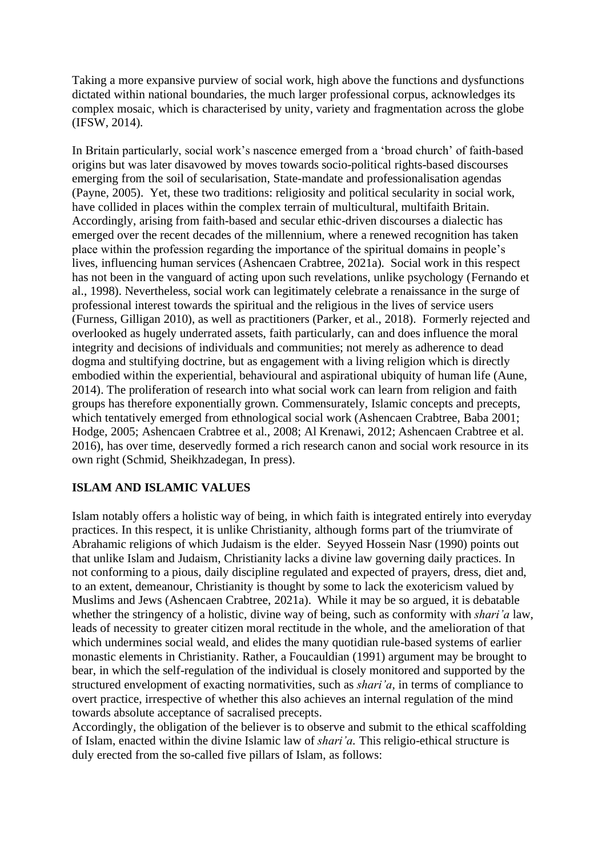Taking a more expansive purview of social work, high above the functions and dysfunctions dictated within national boundaries, the much larger professional corpus, acknowledges its complex mosaic, which is characterised by unity, variety and fragmentation across the globe (IFSW, 2014).

In Britain particularly, social work's nascence emerged from a 'broad church' of faith-based origins but was later disavowed by moves towards socio-political rights-based discourses emerging from the soil of secularisation, State-mandate and professionalisation agendas (Payne, 2005). Yet, these two traditions: religiosity and political secularity in social work, have collided in places within the complex terrain of multicultural, multifaith Britain. Accordingly, arising from faith-based and secular ethic-driven discourses a dialectic has emerged over the recent decades of the millennium, where a renewed recognition has taken place within the profession regarding the importance of the spiritual domains in people's lives, influencing human services (Ashencaen Crabtree, 2021a). Social work in this respect has not been in the vanguard of acting upon such revelations, unlike psychology (Fernando et al., 1998). Nevertheless, social work can legitimately celebrate a renaissance in the surge of professional interest towards the spiritual and the religious in the lives of service users (Furness, Gilligan 2010), as well as practitioners (Parker, et al., 2018). Formerly rejected and overlooked as hugely underrated assets, faith particularly, can and does influence the moral integrity and decisions of individuals and communities; not merely as adherence to dead dogma and stultifying doctrine, but as engagement with a living religion which is directly embodied within the experiential, behavioural and aspirational ubiquity of human life (Aune, 2014). The proliferation of research into what social work can learn from religion and faith groups has therefore exponentially grown. Commensurately, Islamic concepts and precepts, which tentatively emerged from ethnological social work (Ashencaen Crabtree, Baba 2001; Hodge, 2005; Ashencaen Crabtree et al., 2008; Al Krenawi, 2012; Ashencaen Crabtree et al. 2016), has over time, deservedly formed a rich research canon and social work resource in its own right (Schmid, Sheikhzadegan, In press).

# **ISLAM AND ISLAMIC VALUES**

Islam notably offers a holistic way of being, in which faith is integrated entirely into everyday practices. In this respect, it is unlike Christianity, although forms part of the triumvirate of Abrahamic religions of which Judaism is the elder. Seyyed Hossein Nasr (1990) points out that unlike Islam and Judaism, Christianity lacks a divine law governing daily practices. In not conforming to a pious, daily discipline regulated and expected of prayers, dress, diet and, to an extent, demeanour, Christianity is thought by some to lack the exotericism valued by Muslims and Jews (Ashencaen Crabtree, 2021a). While it may be so argued, it is debatable whether the stringency of a holistic, divine way of being, such as conformity with *shari'a* law, leads of necessity to greater citizen moral rectitude in the whole, and the amelioration of that which undermines social weald, and elides the many quotidian rule-based systems of earlier monastic elements in Christianity. Rather, a Foucauldian (1991) argument may be brought to bear, in which the self-regulation of the individual is closely monitored and supported by the structured envelopment of exacting normativities, such as *shari'a,* in terms of compliance to overt practice, irrespective of whether this also achieves an internal regulation of the mind towards absolute acceptance of sacralised precepts.

Accordingly, the obligation of the believer is to observe and submit to the ethical scaffolding of Islam, enacted within the divine Islamic law of *shari'a.* This religio-ethical structure is duly erected from the so-called five pillars of Islam, as follows: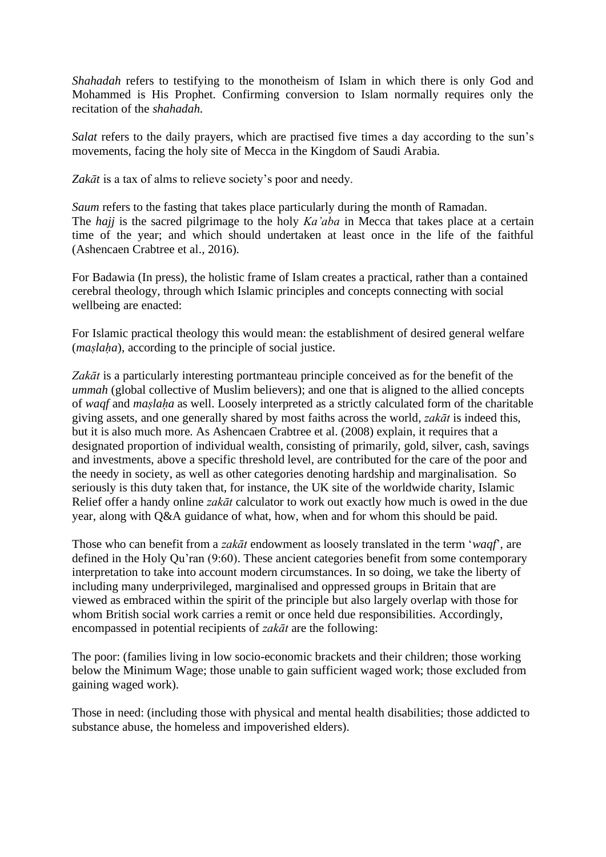*Shahadah* refers to testifying to the monotheism of Islam in which there is only God and Mohammed is His Prophet. Confirming conversion to Islam normally requires only the recitation of the *shahadah.*

*Salat* refers to the daily prayers, which are practised five times a day according to the sun's movements, facing the holy site of Mecca in the Kingdom of Saudi Arabia.

Zakāt is a tax of alms to relieve society's poor and needy.

*Saum* refers to the fasting that takes place particularly during the month of Ramadan. The *hajj* is the sacred pilgrimage to the holy *Ka'aba* in Mecca that takes place at a certain time of the year; and which should undertaken at least once in the life of the faithful (Ashencaen Crabtree et al., 2016).

For Badawia (In press), the holistic frame of Islam creates a practical, rather than a contained cerebral theology, through which Islamic principles and concepts connecting with social wellbeing are enacted:

For Islamic practical theology this would mean: the establishment of desired general welfare (*maslaha*), according to the principle of social justice.

*Zakāt* is a particularly interesting portmanteau principle conceived as for the benefit of the *ummah* (global collective of Muslim believers); and one that is aligned to the allied concepts of *waqf* and *maṣlaḥa* as well. Loosely interpreted as a strictly calculated form of the charitable giving assets, and one generally shared by most faiths across the world, *zakāt* is indeed this, but it is also much more. As Ashencaen Crabtree et al. (2008) explain, it requires that a designated proportion of individual wealth, consisting of primarily, gold, silver, cash, savings and investments, above a specific threshold level, are contributed for the care of the poor and the needy in society, as well as other categories denoting hardship and marginalisation. So seriously is this duty taken that, for instance, the UK site of the worldwide charity, Islamic Relief offer a handy online *zakāt* calculator to work out exactly how much is owed in the due year, along with Q&A guidance of what, how, when and for whom this should be paid.

Those who can benefit from a *zakāt* endowment as loosely translated in the term '*waqf*', are defined in the Holy Qu'ran (9:60). These ancient categories benefit from some contemporary interpretation to take into account modern circumstances. In so doing, we take the liberty of including many underprivileged, marginalised and oppressed groups in Britain that are viewed as embraced within the spirit of the principle but also largely overlap with those for whom British social work carries a remit or once held due responsibilities. Accordingly, encompassed in potential recipients of *zakāt* are the following:

The poor: (families living in low socio-economic brackets and their children; those working below the Minimum Wage; those unable to gain sufficient waged work; those excluded from gaining waged work).

Those in need: (including those with physical and mental health disabilities; those addicted to substance abuse, the homeless and impoverished elders).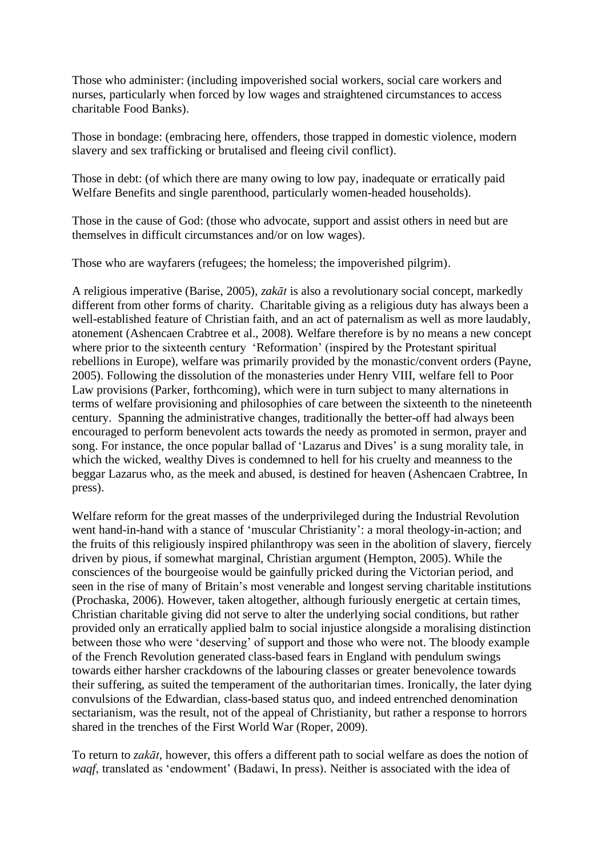Those who administer: (including impoverished social workers, social care workers and nurses, particularly when forced by low wages and straightened circumstances to access charitable Food Banks).

Those in bondage: (embracing here, offenders, those trapped in domestic violence, modern slavery and sex trafficking or brutalised and fleeing civil conflict).

Those in debt: (of which there are many owing to low pay, inadequate or erratically paid Welfare Benefits and single parenthood, particularly women-headed households).

Those in the cause of God: (those who advocate, support and assist others in need but are themselves in difficult circumstances and/or on low wages).

Those who are wayfarers (refugees; the homeless; the impoverished pilgrim).

A religious imperative (Barise, 2005), *zakāt* is also a revolutionary social concept, markedly different from other forms of charity. Charitable giving as a religious duty has always been a well-established feature of Christian faith, and an act of paternalism as well as more laudably, atonement (Ashencaen Crabtree et al., 2008). Welfare therefore is by no means a new concept where prior to the sixteenth century 'Reformation' (inspired by the Protestant spiritual rebellions in Europe), welfare was primarily provided by the monastic/convent orders (Payne, 2005). Following the dissolution of the monasteries under Henry VIII, welfare fell to Poor Law provisions (Parker, forthcoming), which were in turn subject to many alternations in terms of welfare provisioning and philosophies of care between the sixteenth to the nineteenth century. Spanning the administrative changes, traditionally the better-off had always been encouraged to perform benevolent acts towards the needy as promoted in sermon, prayer and song. For instance, the once popular ballad of 'Lazarus and Dives' is a sung morality tale, in which the wicked, wealthy Dives is condemned to hell for his cruelty and meanness to the beggar Lazarus who, as the meek and abused, is destined for heaven (Ashencaen Crabtree, In press).

Welfare reform for the great masses of the underprivileged during the Industrial Revolution went hand-in-hand with a stance of 'muscular Christianity': a moral theology-in-action; and the fruits of this religiously inspired philanthropy was seen in the abolition of slavery, fiercely driven by pious, if somewhat marginal, Christian argument (Hempton, 2005). While the consciences of the bourgeoise would be gainfully pricked during the Victorian period, and seen in the rise of many of Britain's most venerable and longest serving charitable institutions (Prochaska, 2006). However, taken altogether, although furiously energetic at certain times, Christian charitable giving did not serve to alter the underlying social conditions, but rather provided only an erratically applied balm to social injustice alongside a moralising distinction between those who were 'deserving' of support and those who were not. The bloody example of the French Revolution generated class-based fears in England with pendulum swings towards either harsher crackdowns of the labouring classes or greater benevolence towards their suffering, as suited the temperament of the authoritarian times. Ironically, the later dying convulsions of the Edwardian, class-based status quo, and indeed entrenched denomination sectarianism, was the result, not of the appeal of Christianity, but rather a response to horrors shared in the trenches of the First World War (Roper, 2009).

To return to *zakāt*, however, this offers a different path to social welfare as does the notion of *waqf*, translated as 'endowment' (Badawi, In press). Neither is associated with the idea of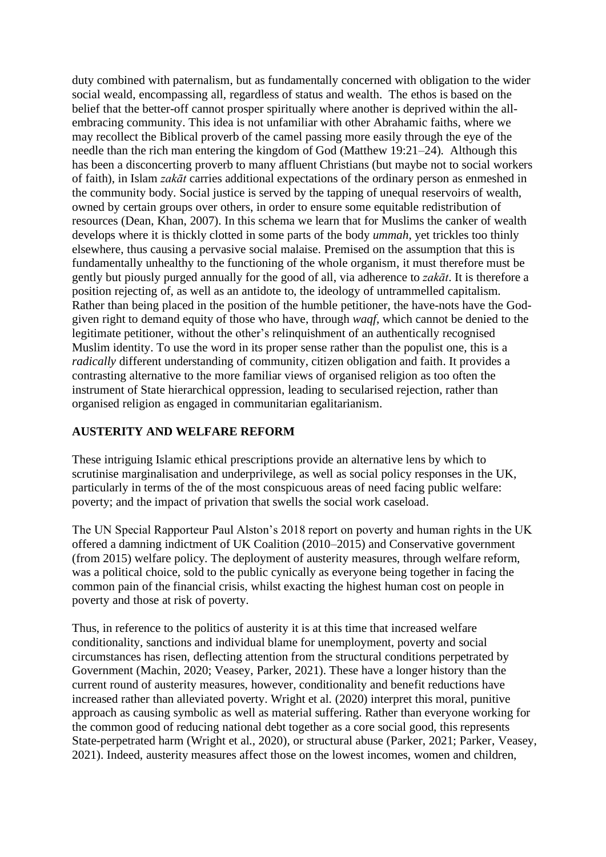duty combined with paternalism, but as fundamentally concerned with obligation to the wider social weald, encompassing all, regardless of status and wealth. The ethos is based on the belief that the better-off cannot prosper spiritually where another is deprived within the allembracing community. This idea is not unfamiliar with other Abrahamic faiths, where we may recollect the Biblical proverb of the camel passing more easily through the eye of the needle than the rich man entering the kingdom of God (Matthew 19:21–24). Although this has been a disconcerting proverb to many affluent Christians (but maybe not to social workers of faith), in Islam *zakāt* carries additional expectations of the ordinary person as enmeshed in the community body. Social justice is served by the tapping of unequal reservoirs of wealth, owned by certain groups over others, in order to ensure some equitable redistribution of resources (Dean, Khan, 2007). In this schema we learn that for Muslims the canker of wealth develops where it is thickly clotted in some parts of the body *ummah*, yet trickles too thinly elsewhere, thus causing a pervasive social malaise. Premised on the assumption that this is fundamentally unhealthy to the functioning of the whole organism, it must therefore must be gently but piously purged annually for the good of all, via adherence to *zakāt*. It is therefore a position rejecting of, as well as an antidote to, the ideology of untrammelled capitalism. Rather than being placed in the position of the humble petitioner, the have-nots have the Godgiven right to demand equity of those who have, through *waqf*, which cannot be denied to the legitimate petitioner, without the other's relinquishment of an authentically recognised Muslim identity. To use the word in its proper sense rather than the populist one, this is a *radically* different understanding of community, citizen obligation and faith. It provides a contrasting alternative to the more familiar views of organised religion as too often the instrument of State hierarchical oppression, leading to secularised rejection, rather than organised religion as engaged in communitarian egalitarianism.

### **AUSTERITY AND WELFARE REFORM**

These intriguing Islamic ethical prescriptions provide an alternative lens by which to scrutinise marginalisation and underprivilege, as well as social policy responses in the UK, particularly in terms of the of the most conspicuous areas of need facing public welfare: poverty; and the impact of privation that swells the social work caseload.

The UN Special Rapporteur Paul Alston's 2018 report on poverty and human rights in the UK offered a damning indictment of UK Coalition (2010–2015) and Conservative government (from 2015) welfare policy. The deployment of austerity measures, through welfare reform, was a political choice, sold to the public cynically as everyone being together in facing the common pain of the financial crisis, whilst exacting the highest human cost on people in poverty and those at risk of poverty.

Thus, in reference to the politics of austerity it is at this time that increased welfare conditionality, sanctions and individual blame for unemployment, poverty and social circumstances has risen, deflecting attention from the structural conditions perpetrated by Government (Machin, 2020; Veasey, Parker, 2021). These have a longer history than the current round of austerity measures, however, conditionality and benefit reductions have increased rather than alleviated poverty. Wright et al. (2020) interpret this moral, punitive approach as causing symbolic as well as material suffering. Rather than everyone working for the common good of reducing national debt together as a core social good, this represents State-perpetrated harm (Wright et al., 2020), or structural abuse (Parker, 2021; Parker, Veasey, 2021). Indeed, austerity measures affect those on the lowest incomes, women and children,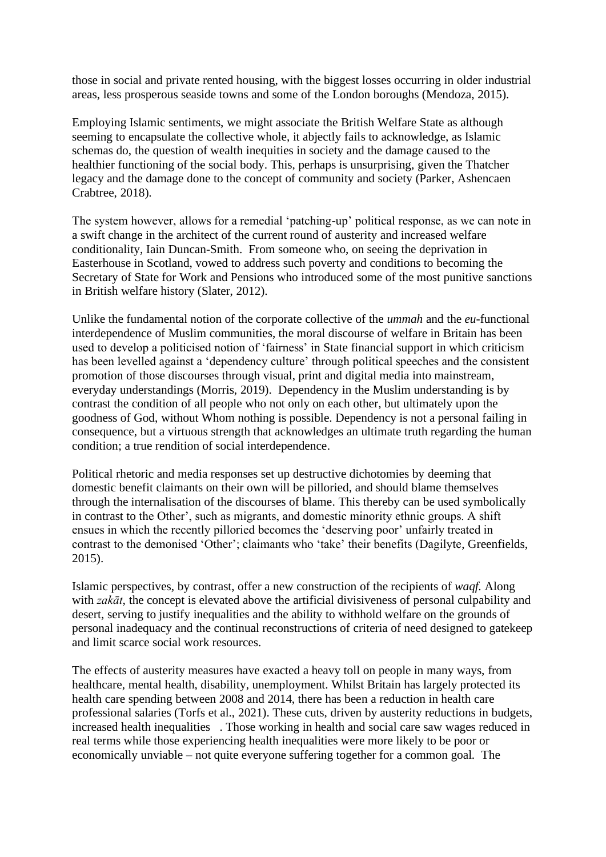those in social and private rented housing, with the biggest losses occurring in older industrial areas, less prosperous seaside towns and some of the London boroughs (Mendoza, 2015).

Employing Islamic sentiments, we might associate the British Welfare State as although seeming to encapsulate the collective whole, it abjectly fails to acknowledge, as Islamic schemas do, the question of wealth inequities in society and the damage caused to the healthier functioning of the social body. This, perhaps is unsurprising, given the Thatcher legacy and the damage done to the concept of community and society (Parker, Ashencaen Crabtree, 2018).

The system however, allows for a remedial 'patching-up' political response, as we can note in a swift change in the architect of the current round of austerity and increased welfare conditionality, Iain Duncan-Smith. From someone who, on seeing the deprivation in Easterhouse in Scotland, vowed to address such poverty and conditions to becoming the Secretary of State for Work and Pensions who introduced some of the most punitive sanctions in British welfare history (Slater, 2012).

Unlike the fundamental notion of the corporate collective of the *ummah* and the *eu*-functional interdependence of Muslim communities, the moral discourse of welfare in Britain has been used to develop a politicised notion of 'fairness' in State financial support in which criticism has been levelled against a 'dependency culture' through political speeches and the consistent promotion of those discourses through visual, print and digital media into mainstream, everyday understandings (Morris, 2019). Dependency in the Muslim understanding is by contrast the condition of all people who not only on each other, but ultimately upon the goodness of God, without Whom nothing is possible. Dependency is not a personal failing in consequence, but a virtuous strength that acknowledges an ultimate truth regarding the human condition; a true rendition of social interdependence.

Political rhetoric and media responses set up destructive dichotomies by deeming that domestic benefit claimants on their own will be pilloried, and should blame themselves through the internalisation of the discourses of blame. This thereby can be used symbolically in contrast to the Other', such as migrants, and domestic minority ethnic groups. A shift ensues in which the recently pilloried becomes the 'deserving poor' unfairly treated in contrast to the demonised 'Other'; claimants who 'take' their benefits (Dagilyte, Greenfields, 2015).

Islamic perspectives, by contrast, offer a new construction of the recipients of *waqf.* Along with *zakāt*, the concept is elevated above the artificial divisiveness of personal culpability and desert, serving to justify inequalities and the ability to withhold welfare on the grounds of personal inadequacy and the continual reconstructions of criteria of need designed to gatekeep and limit scarce social work resources.

The effects of austerity measures have exacted a heavy toll on people in many ways, from healthcare, mental health, disability, unemployment. Whilst Britain has largely protected its health care spending between 2008 and 2014, there has been a reduction in health care professional salaries (Torfs et al., 2021). These cuts, driven by austerity reductions in budgets, increased health inequalities . Those working in health and social care saw wages reduced in real terms while those experiencing health inequalities were more likely to be poor or economically unviable – not quite everyone suffering together for a common goal. The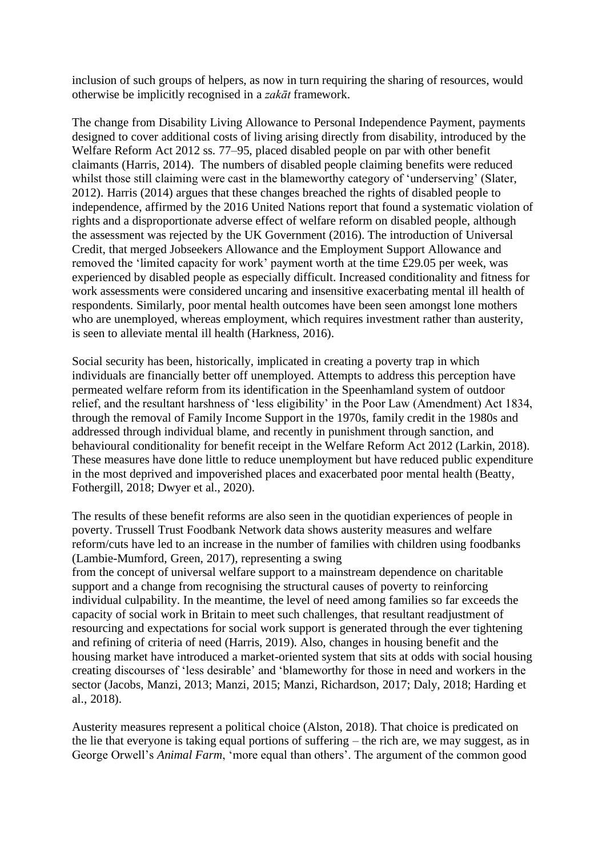inclusion of such groups of helpers, as now in turn requiring the sharing of resources, would otherwise be implicitly recognised in a *zakāt* framework.

The change from Disability Living Allowance to Personal Independence Payment, payments designed to cover additional costs of living arising directly from disability, introduced by the Welfare Reform Act 2012 ss. 77–95, placed disabled people on par with other benefit claimants (Harris, 2014). The numbers of disabled people claiming benefits were reduced whilst those still claiming were cast in the blameworthy category of 'underserving' (Slater, 2012). Harris (2014) argues that these changes breached the rights of disabled people to independence, affirmed by the 2016 United Nations report that found a systematic violation of rights and a disproportionate adverse effect of welfare reform on disabled people, although the assessment was rejected by the UK Government (2016). The introduction of Universal Credit, that merged Jobseekers Allowance and the Employment Support Allowance and removed the 'limited capacity for work' payment worth at the time £29.05 per week, was experienced by disabled people as especially difficult. Increased conditionality and fitness for work assessments were considered uncaring and insensitive exacerbating mental ill health of respondents. Similarly, poor mental health outcomes have been seen amongst lone mothers who are unemployed, whereas employment, which requires investment rather than austerity, is seen to alleviate mental ill health (Harkness, 2016).

Social security has been, historically, implicated in creating a poverty trap in which individuals are financially better off unemployed. Attempts to address this perception have permeated welfare reform from its identification in the Speenhamland system of outdoor relief, and the resultant harshness of 'less eligibility' in the Poor Law (Amendment) Act 1834, through the removal of Family Income Support in the 1970s, family credit in the 1980s and addressed through individual blame, and recently in punishment through sanction, and behavioural conditionality for benefit receipt in the Welfare Reform Act 2012 (Larkin, 2018). These measures have done little to reduce unemployment but have reduced public expenditure in the most deprived and impoverished places and exacerbated poor mental health (Beatty, Fothergill, 2018; Dwyer et al., 2020).

The results of these benefit reforms are also seen in the quotidian experiences of people in poverty. Trussell Trust Foodbank Network data shows austerity measures and welfare reform/cuts have led to an increase in the number of families with children using foodbanks (Lambie-Mumford, Green, 2017), representing a swing from the concept of universal welfare support to a mainstream dependence on charitable support and a change from recognising the structural causes of poverty to reinforcing individual culpability. In the meantime, the level of need among families so far exceeds the capacity of social work in Britain to meet such challenges, that resultant readjustment of resourcing and expectations for social work support is generated through the ever tightening and refining of criteria of need (Harris, 2019). Also, changes in housing benefit and the housing market have introduced a market-oriented system that sits at odds with social housing creating discourses of 'less desirable' and 'blameworthy for those in need and workers in the sector (Jacobs, Manzi, 2013; Manzi, 2015; Manzi, Richardson, 2017; Daly, 2018; Harding et al., 2018).

Austerity measures represent a political choice (Alston, 2018). That choice is predicated on the lie that everyone is taking equal portions of suffering – the rich are, we may suggest, as in George Orwell's *Animal Farm*, 'more equal than others'. The argument of the common good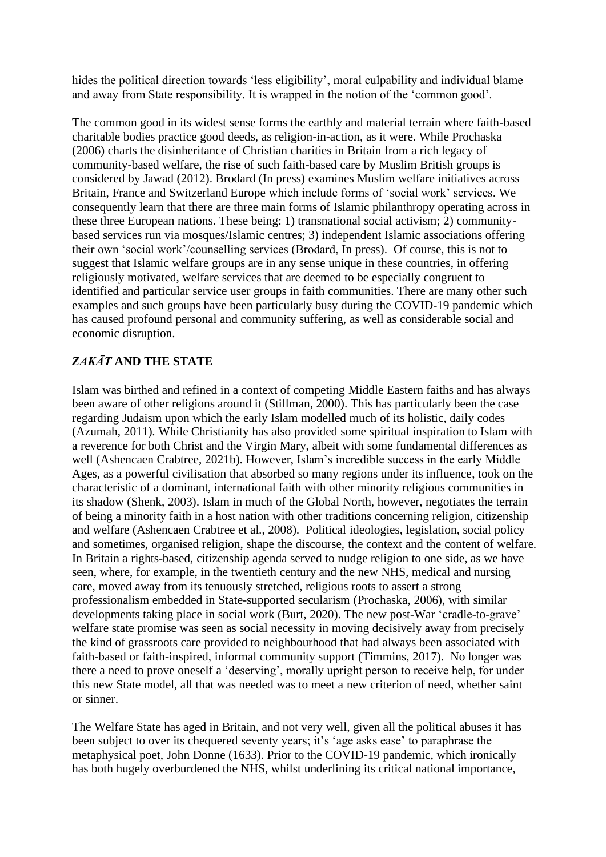hides the political direction towards 'less eligibility', moral culpability and individual blame and away from State responsibility. It is wrapped in the notion of the 'common good'.

The common good in its widest sense forms the earthly and material terrain where faith-based charitable bodies practice good deeds, as religion-in-action, as it were. While Prochaska (2006) charts the disinheritance of Christian charities in Britain from a rich legacy of community-based welfare, the rise of such faith-based care by Muslim British groups is considered by Jawad (2012). Brodard (In press) examines Muslim welfare initiatives across Britain, France and Switzerland Europe which include forms of 'social work' services. We consequently learn that there are three main forms of Islamic philanthropy operating across in these three European nations. These being: 1) transnational social activism; 2) communitybased services run via mosques/Islamic centres; 3) independent Islamic associations offering their own 'social work'/counselling services (Brodard, In press). Of course, this is not to suggest that Islamic welfare groups are in any sense unique in these countries, in offering religiously motivated, welfare services that are deemed to be especially congruent to identified and particular service user groups in faith communities. There are many other such examples and such groups have been particularly busy during the COVID-19 pandemic which has caused profound personal and community suffering, as well as considerable social and economic disruption.

# *ZAKĀT* **AND THE STATE**

Islam was birthed and refined in a context of competing Middle Eastern faiths and has always been aware of other religions around it (Stillman, 2000). This has particularly been the case regarding Judaism upon which the early Islam modelled much of its holistic, daily codes (Azumah, 2011). While Christianity has also provided some spiritual inspiration to Islam with a reverence for both Christ and the Virgin Mary, albeit with some fundamental differences as well (Ashencaen Crabtree, 2021b). However, Islam's incredible success in the early Middle Ages, as a powerful civilisation that absorbed so many regions under its influence, took on the characteristic of a dominant, international faith with other minority religious communities in its shadow (Shenk, 2003). Islam in much of the Global North, however, negotiates the terrain of being a minority faith in a host nation with other traditions concerning religion, citizenship and welfare (Ashencaen Crabtree et al., 2008). Political ideologies, legislation, social policy and sometimes, organised religion, shape the discourse, the context and the content of welfare. In Britain a rights-based, citizenship agenda served to nudge religion to one side, as we have seen, where, for example, in the twentieth century and the new NHS, medical and nursing care, moved away from its tenuously stretched, religious roots to assert a strong professionalism embedded in State-supported secularism (Prochaska, 2006), with similar developments taking place in social work (Burt, 2020). The new post-War 'cradle-to-grave' welfare state promise was seen as social necessity in moving decisively away from precisely the kind of grassroots care provided to neighbourhood that had always been associated with faith-based or faith-inspired, informal community support (Timmins, 2017). No longer was there a need to prove oneself a 'deserving', morally upright person to receive help, for under this new State model, all that was needed was to meet a new criterion of need, whether saint or sinner.

The Welfare State has aged in Britain, and not very well, given all the political abuses it has been subject to over its chequered seventy years; it's 'age asks ease' to paraphrase the metaphysical poet, John Donne (1633). Prior to the COVID-19 pandemic, which ironically has both hugely overburdened the NHS, whilst underlining its critical national importance,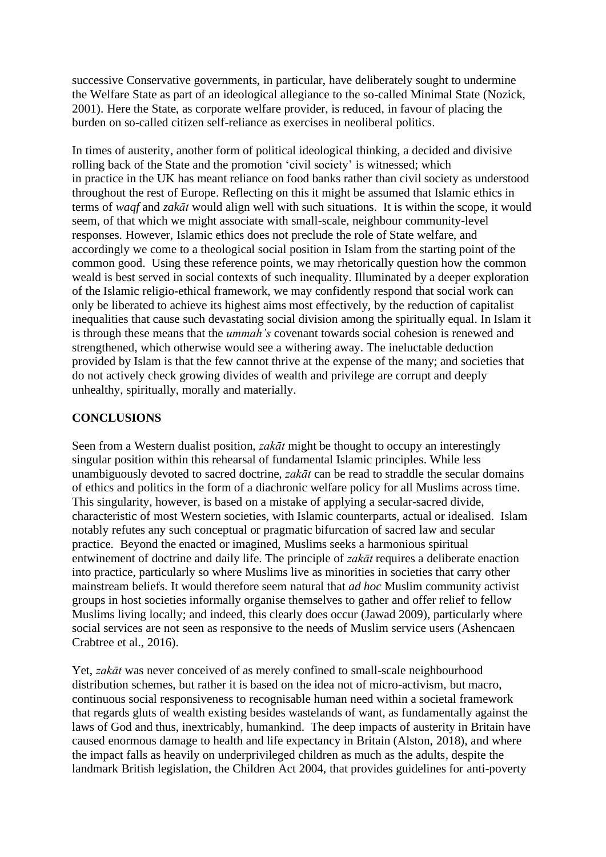successive Conservative governments, in particular, have deliberately sought to undermine the Welfare State as part of an ideological allegiance to the so-called Minimal State (Nozick, 2001). Here the State, as corporate welfare provider, is reduced, in favour of placing the burden on so-called citizen self-reliance as exercises in neoliberal politics.

In times of austerity, another form of political ideological thinking, a decided and divisive rolling back of the State and the promotion 'civil society' is witnessed; which in practice in the UK has meant reliance on food banks rather than civil society as understood throughout the rest of Europe. Reflecting on this it might be assumed that Islamic ethics in terms of *waqf* and *zakāt* would align well with such situations. It is within the scope, it would seem, of that which we might associate with small-scale, neighbour community-level responses. However, Islamic ethics does not preclude the role of State welfare, and accordingly we come to a theological social position in Islam from the starting point of the common good. Using these reference points, we may rhetorically question how the common weald is best served in social contexts of such inequality. Illuminated by a deeper exploration of the Islamic religio-ethical framework, we may confidently respond that social work can only be liberated to achieve its highest aims most effectively, by the reduction of capitalist inequalities that cause such devastating social division among the spiritually equal. In Islam it is through these means that the *ummah's* covenant towards social cohesion is renewed and strengthened, which otherwise would see a withering away. The ineluctable deduction provided by Islam is that the few cannot thrive at the expense of the many; and societies that do not actively check growing divides of wealth and privilege are corrupt and deeply unhealthy, spiritually, morally and materially.

### **CONCLUSIONS**

Seen from a Western dualist position, *zakāt* might be thought to occupy an interestingly singular position within this rehearsal of fundamental Islamic principles. While less unambiguously devoted to sacred doctrine, *zakāt* can be read to straddle the secular domains of ethics and politics in the form of a diachronic welfare policy for all Muslims across time. This singularity, however, is based on a mistake of applying a secular-sacred divide, characteristic of most Western societies, with Islamic counterparts, actual or idealised. Islam notably refutes any such conceptual or pragmatic bifurcation of sacred law and secular practice. Beyond the enacted or imagined, Muslims seeks a harmonious spiritual entwinement of doctrine and daily life. The principle of *zakāt* requires a deliberate enaction into practice, particularly so where Muslims live as minorities in societies that carry other mainstream beliefs. It would therefore seem natural that *ad hoc* Muslim community activist groups in host societies informally organise themselves to gather and offer relief to fellow Muslims living locally; and indeed, this clearly does occur (Jawad 2009), particularly where social services are not seen as responsive to the needs of Muslim service users (Ashencaen Crabtree et al., 2016).

Yet, *zakāt* was never conceived of as merely confined to small-scale neighbourhood distribution schemes, but rather it is based on the idea not of micro-activism, but macro, continuous social responsiveness to recognisable human need within a societal framework that regards gluts of wealth existing besides wastelands of want, as fundamentally against the laws of God and thus, inextricably, humankind. The deep impacts of austerity in Britain have caused enormous damage to health and life expectancy in Britain (Alston, 2018), and where the impact falls as heavily on underprivileged children as much as the adults, despite the landmark British legislation, the Children Act 2004, that provides guidelines for anti-poverty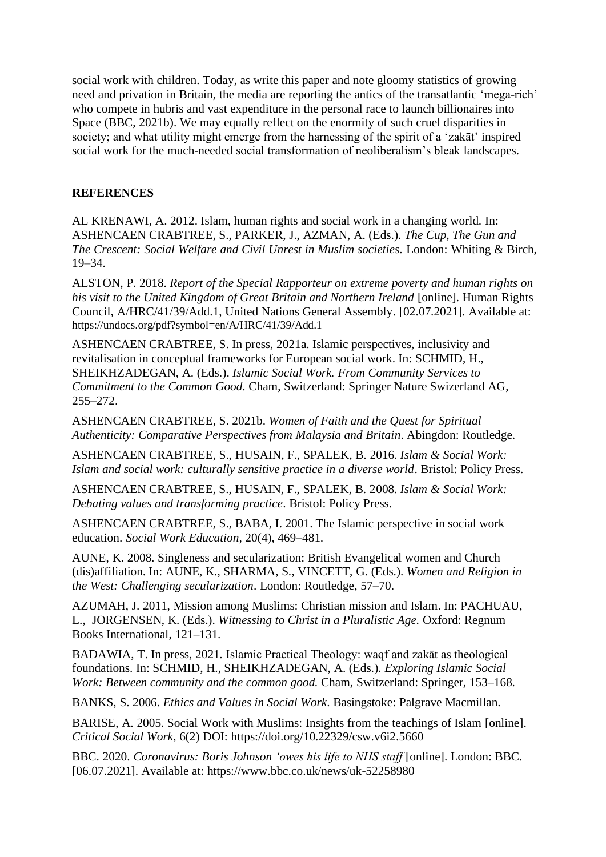social work with children. Today, as write this paper and note gloomy statistics of growing need and privation in Britain, the media are reporting the antics of the transatlantic 'mega-rich' who compete in hubris and vast expenditure in the personal race to launch billionaires into Space (BBC, 2021b). We may equally reflect on the enormity of such cruel disparities in society; and what utility might emerge from the harnessing of the spirit of a 'zakāt' inspired social work for the much-needed social transformation of neoliberalism's bleak landscapes.

## **REFERENCES**

AL KRENAWI, A. 2012. Islam, human rights and social work in a changing world. In: ASHENCAEN CRABTREE, S., PARKER, J., AZMAN, A. (Eds.). *The Cup, The Gun and The Crescent: Social Welfare and Civil Unrest in Muslim societies.* London: Whiting & Birch, 19–34.

ALSTON, P. 2018. *Report of the Special Rapporteur on extreme poverty and human rights on his visit to the United Kingdom of Great Britain and Northern Ireland* [online]. Human Rights Council, A/HRC/41/39/Add.1, United Nations General Assembly. [02.07.2021]*.* Available at: https://undocs.org/pdf?symbol=en/A/HRC/41/39/Add.1

ASHENCAEN CRABTREE, S. In press, 2021a. Islamic perspectives, inclusivity and revitalisation in conceptual frameworks for European social work. In: SCHMID, H., SHEIKHZADEGAN, A. (Eds.). *Islamic Social Work. From Community Services to Commitment to the Common Good.* Cham, Switzerland: Springer Nature Swizerland AG, 255–272.

ASHENCAEN CRABTREE, S. 2021b. *Women of Faith and the Quest for Spiritual Authenticity: Comparative Perspectives from Malaysia and Britain*. Abingdon: Routledge.

ASHENCAEN CRABTREE, S., HUSAIN, F., SPALEK, B. 2016. *Islam & Social Work: Islam and social work: culturally sensitive practice in a diverse world*. Bristol: Policy Press.

ASHENCAEN CRABTREE, S., HUSAIN, F., SPALEK, B. 2008. *Islam & Social Work: Debating values and transforming practice*. Bristol: Policy Press.

ASHENCAEN CRABTREE, S., BABA, I. 2001. The Islamic perspective in social work education. *Social Work Education,* 20(4), 469–481.

AUNE, K. 2008. Singleness and secularization: British Evangelical women and Church (dis)affiliation. In: AUNE, K., SHARMA, S., VINCETT, G. (Eds.). *Women and Religion in the West: Challenging secularization*. London: Routledge, 57–70.

AZUMAH, J. 2011, Mission among Muslims: Christian mission and Islam. In: PACHUAU, L., JORGENSEN, K. (Eds.). *Witnessing to Christ in a Pluralistic Age.* Oxford: Regnum Books International, 121–131.

BADAWIA, T. In press, 2021. Islamic Practical Theology: waqf and zakāt as theological foundations. In: SCHMID, H., SHEIKHZADEGAN, A. (Eds.). *Exploring Islamic Social Work: Between community and the common good.* Cham, Switzerland: Springer, 153–168.

BANKS, S. 2006. *Ethics and Values in Social Work*. Basingstoke: Palgrave Macmillan.

BARISE, A. 2005. Social Work with Muslims: Insights from the teachings of Islam [online]. *Critical Social Work*, 6(2) DOI: https://doi.org/10.22329/csw.v6i2.5660

BBC. 2020. *Coronavirus: Boris Johnson 'owes his life to NHS staff* [online]. London: BBC. [06.07.2021]. Available at: https://www.bbc.co.uk/news/uk-52258980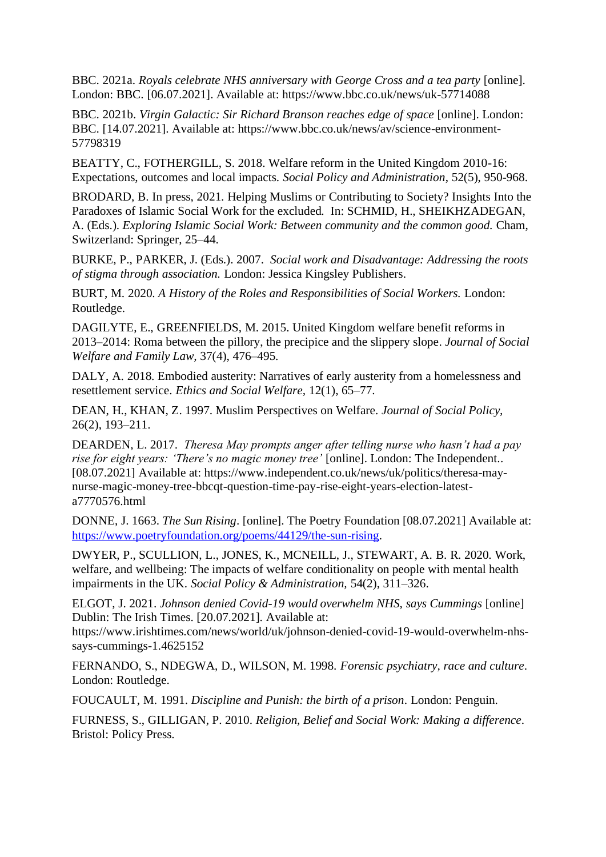BBC. 2021a. *Royals celebrate NHS anniversary with George Cross and a tea party* [online]. London: BBC. [06.07.2021]. Available at: https://www.bbc.co.uk/news/uk-57714088

BBC. 2021b. *Virgin Galactic: Sir Richard Branson reaches edge of space* [online]. London: BBC. [14.07.2021]. Available at: https://www.bbc.co.uk/news/av/science-environment-57798319

BEATTY, C., FOTHERGILL, S. 2018. Welfare reform in the United Kingdom 2010-16: Expectations, outcomes and local impacts. *Social Policy and Administration*, 52(5), 950-968.

BRODARD, B. In press, 2021. Helping Muslims or Contributing to Society? Insights Into the Paradoxes of Islamic Social Work for the excluded. In: SCHMID, H., SHEIKHZADEGAN, A. (Eds.). *Exploring Islamic Social Work: Between community and the common good.* Cham, Switzerland: Springer, 25–44.

BURKE, P., PARKER, J. (Eds.). 2007. *Social work and Disadvantage: Addressing the roots of stigma through association.* London: Jessica Kingsley Publishers.

BURT, M. 2020. *A History of the Roles and Responsibilities of Social Workers.* London: Routledge.

DAGILYTE, E., GREENFIELDS, M. 2015. United Kingdom welfare benefit reforms in 2013–2014: Roma between the pillory, the precipice and the slippery slope. *Journal of Social Welfare and Family Law,* 37(4), 476–495.

DALY, A. 2018. Embodied austerity: Narratives of early austerity from a homelessness and resettlement service. *Ethics and Social Welfare,* 12(1), 65–77.

DEAN, H., KHAN, Z. 1997. Muslim Perspectives on Welfare. *Journal of Social Policy,*  26(2), 193–211.

DEARDEN, L. 2017. *Theresa May prompts anger after telling nurse who hasn't had a pay rise for eight years: 'There's no magic money tree'* [online]. London: The Independent.. [08.07.2021] Available at: https://www.independent.co.uk/news/uk/politics/theresa-maynurse-magic-money-tree-bbcqt-question-time-pay-rise-eight-years-election-latesta7770576.html

DONNE, J. 1663. *The Sun Rising*. [online]. The Poetry Foundation [08.07.2021] Available at: [https://www.poetryfoundation.org/poems/44129/the-sun-rising.](https://www.poetryfoundation.org/poems/44129/the-sun-rising)

DWYER, P., SCULLION, L., JONES, K., MCNEILL, J., STEWART, A. B. R. 2020. Work, welfare, and wellbeing: The impacts of welfare conditionality on people with mental health impairments in the UK. *Social Policy & Administration,* 54(2), 311–326.

ELGOT, J. 2021. *Johnson denied Covid-19 would overwhelm NHS, says Cummings* [online] Dublin: The Irish Times. [20.07.2021]. Available at:

https://www.irishtimes.com/news/world/uk/johnson-denied-covid-19-would-overwhelm-nhssays-cummings-1.4625152

FERNANDO, S., NDEGWA, D., WILSON, M. 1998. *Forensic psychiatry, race and culture*. London: Routledge.

FOUCAULT, M. 1991. *Discipline and Punish: the birth of a prison*. London: Penguin.

FURNESS, S., GILLIGAN, P. 2010. *Religion, Belief and Social Work: Making a difference*. Bristol: Policy Press.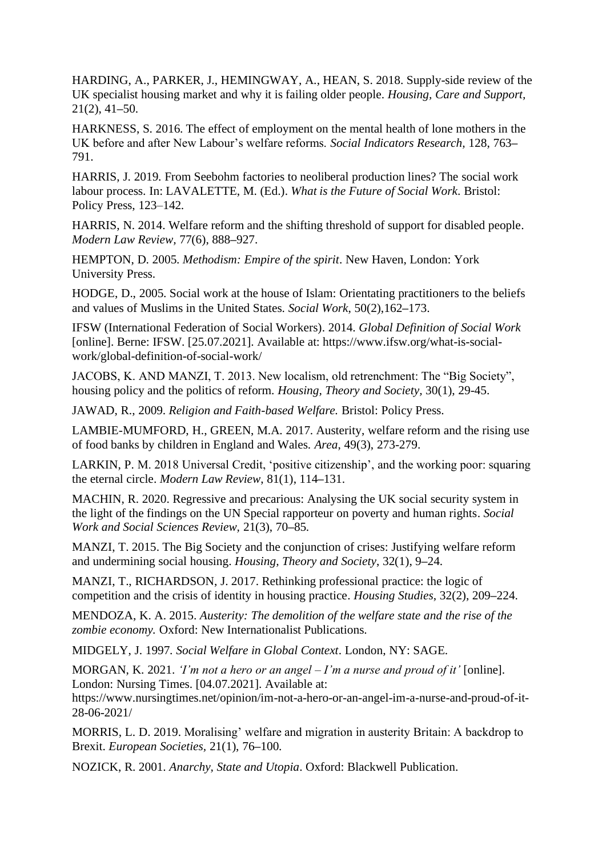HARDING, A., PARKER, J., HEMINGWAY, A., HEAN, S. 2018. Supply-side review of the UK specialist housing market and why it is failing older people. *Housing, Care and Support,*  21(2), 41**–**50.

HARKNESS, S. 2016. The effect of employment on the mental health of lone mothers in the UK before and after New Labour's welfare reforms. *Social Indicators Research,* 128, 763**–** 791.

HARRIS, J. 2019. From Seebohm factories to neoliberal production lines? The social work labour process. In: LAVALETTE, M. (Ed.). *What is the Future of Social Work*. Bristol: Policy Press, 123–142.

HARRIS, N. 2014. Welfare reform and the shifting threshold of support for disabled people. *Modern Law Review,* 77(6), 888**–**927.

HEMPTON, D. 2005. *Methodism: Empire of the spirit*. New Haven, London: York University Press.

HODGE, D., 2005. Social work at the house of Islam: Orientating practitioners to the beliefs and values of Muslims in the United States. *Social Work*, 50(2),162**–**173.

IFSW (International Federation of Social Workers). 2014. *Global Definition of Social Work* [online]. Berne: IFSW. [25.07.2021]. Available at: https://www.ifsw.org/what-is-socialwork/global-definition-of-social-work/

JACOBS, K. AND MANZI, T. 2013. New localism, old retrenchment: The "Big Society", housing policy and the politics of reform. *Housing, Theory and Society,* 30(1), 29-45.

JAWAD, R., 2009. *Religion and Faith-based Welfare.* Bristol: Policy Press.

LAMBIE-MUMFORD, H., GREEN, M.A. 2017. Austerity, welfare reform and the rising use of food banks by children in England and Wales. *Area*, 49(3), 273-279.

LARKIN, P. M. 2018 Universal Credit, 'positive citizenship', and the working poor: squaring the eternal circle. *Modern Law Review*, 81(1), 114**–**131.

MACHIN, R. 2020. Regressive and precarious: Analysing the UK social security system in the light of the findings on the UN Special rapporteur on poverty and human rights. *Social Work and Social Sciences Review,* 21(3), 70**–**85.

MANZI, T. 2015. The Big Society and the conjunction of crises: Justifying welfare reform and undermining social housing. *Housing, Theory and Society*, 32(1), 9**–**24.

MANZI, T., RICHARDSON, J. 2017. Rethinking professional practice: the logic of competition and the crisis of identity in housing practice. *Housing Studies*, 32(2), 209**–**224.

MENDOZA, K. A. 2015. *Austerity: The demolition of the welfare state and the rise of the zombie economy.* Oxford: New Internationalist Publications.

MIDGELY, J. 1997. *Social Welfare in Global Context*. London, NY: SAGE.

MORGAN, K. 2021. *'I'm not a hero or an angel – I'm a nurse and proud of it'* [online]. London: Nursing Times. [04.07.2021]. Available at:

https://www.nursingtimes.net/opinion/im-not-a-hero-or-an-angel-im-a-nurse-and-proud-of-it-28-06-2021/

MORRIS, L. D. 2019. Moralising' welfare and migration in austerity Britain: A backdrop to Brexit. *European Societies,* 21(1), 76**–**100.

NOZICK, R. 2001*. Anarchy, State and Utopia*. Oxford: Blackwell Publication.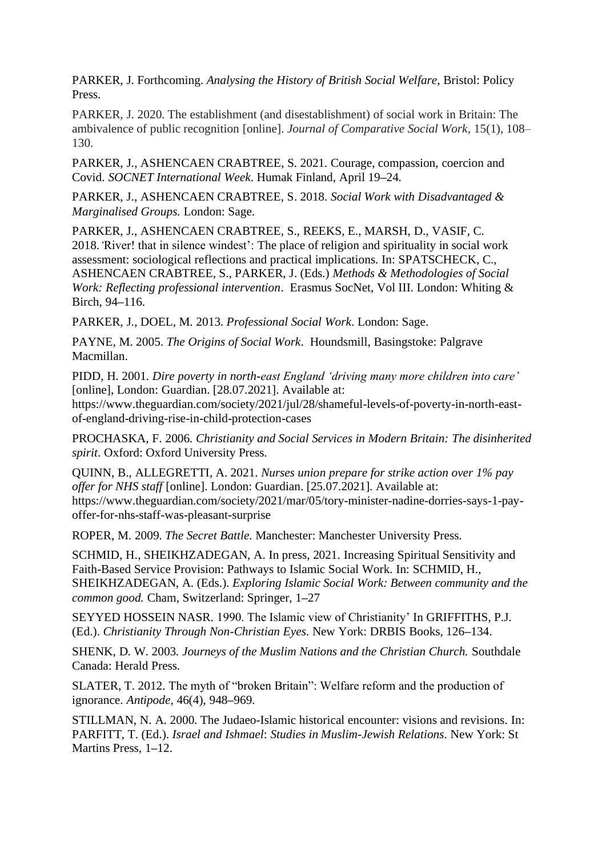PARKER, J. Forthcoming. *Analysing the History of British Social Welfare,* Bristol: Policy Press.

PARKER, J. 2020. The establishment (and disestablishment) of social work in Britain: The ambivalence of public recognition [online]. *Journal of Comparative Social Work,* 15(1), 108– 130.

PARKER, J., ASHENCAEN CRABTREE, S. 2021. Courage, compassion, coercion and Covid. *SOCNET International Week*. Humak Finland, April 19**–**24.

PARKER, J., ASHENCAEN CRABTREE, S. 2018. *Social Work with Disadvantaged & Marginalised Groups.* London: Sage.

PARKER, J., ASHENCAEN CRABTREE, S., REEKS, E., MARSH, D., VASIF, C. 2018.*'*River! that in silence windest': The place of religion and spirituality in social work assessment: sociological reflections and practical implications. In: SPATSCHECK, C., ASHENCAEN CRABTREE, S., PARKER, J. (Eds.) *Methods & Methodologies of Social Work: Reflecting professional intervention*. Erasmus SocNet, Vol III. London: Whiting & Birch, 94**–**116.

PARKER, J., DOEL, M. 2013. *Professional Social Work*. London: Sage.

PAYNE, M. 2005. *The Origins of Social Work*. Houndsmill, Basingstoke: Palgrave Macmillan.

PIDD, H. 2001. *Dire poverty in north-east England 'driving many more children into care'* [online], London: Guardian. [28.07.2021]. Available at: https://www.theguardian.com/society/2021/jul/28/shameful-levels-of-poverty-in-north-east-

of-england-driving-rise-in-child-protection-cases

PROCHASKA, F. 2006. *Christianity and Social Services in Modern Britain: The disinherited spirit*. Oxford: Oxford University Press.

QUINN, B., ALLEGRETTI, A. 2021. *Nurses union prepare for strike action over 1% pay offer for NHS staff* [online]. London: Guardian. [25.07.2021]. Available at: https://www.theguardian.com/society/2021/mar/05/tory-minister-nadine-dorries-says-1-payoffer-for-nhs-staff-was-pleasant-surprise

ROPER, M. 2009. *The Secret Battle*. Manchester: Manchester University Press.

SCHMID, H., SHEIKHZADEGAN, A. In press, 2021. Increasing Spiritual Sensitivity and Faith-Based Service Provision: Pathways to Islamic Social Work. In: SCHMID, H., SHEIKHZADEGAN, A. (Eds.). *Exploring Islamic Social Work: Between community and the common good.* Cham, Switzerland: Springer, 1**–**27

SEYYED HOSSEIN NASR. 1990. The Islamic view of Christianity' In GRIFFITHS, P.J. (Ed.). *Christianity Through Non-Christian Eyes*. New York: DRBIS Books, 126**–**134.

SHENK, D. W. 2003. *Journeys of the Muslim Nations and the Christian Church.* Southdale Canada: Herald Press.

SLATER, T. 2012. The myth of "broken Britain": Welfare reform and the production of ignorance. *Antipode,* 46(4), 948**–**969.

STILLMAN, N. A. 2000. The Judaeo-Islamic historical encounter: visions and revisions. In: PARFITT, T. (Ed.). *Israel and Ishmael*: *Studies in Muslim-Jewish Relations*. New York: St Martins Press, 1**–**12.